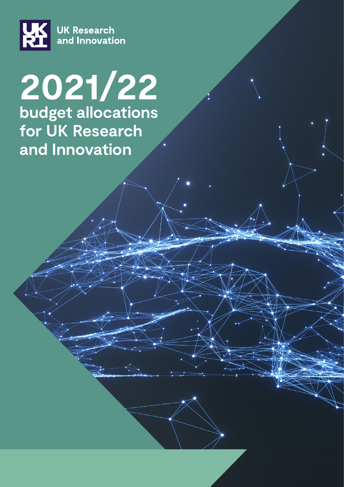

# **2021/22 budget allocations for UK Research and Innovation**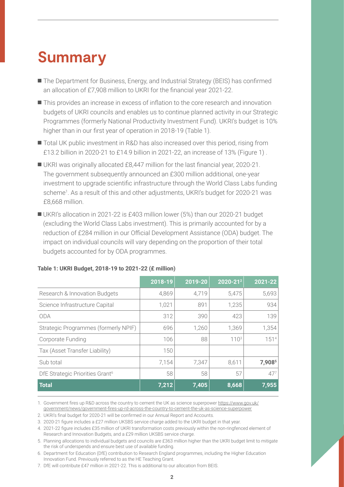### **Summary**

- The Department for Business, Energy, and Industrial Strategy (BEIS) has confirmed an allocation of £7,908 million to UKRI for the financial year 2021-22.
- This provides an increase in excess of inflation to the core research and innovation budgets of UKRI councils and enables us to continue planned activity in our Strategic Programmes (formerly National Productivity Investment Fund). UKRI's budget is 10% higher than in our first year of operation in 2018-19 (Table 1).
- Total UK public investment in R&D has also increased over this period, rising from £13.2 billion in 2020-21 to £14.9 billion in 2021-22, an increase of 13% (Figure 1) .
- UKRI was originally allocated £8,447 million for the last financial year, 2020-21. The government subsequently announced an £300 million additional, one-year investment to upgrade scientific infrastructure through the World Class Labs funding scheme<sup>1</sup>. As a result of this and other adjustments, UKRI's budget for 2020-21 was £8,668 million.
- UKRI's allocation in 2021-22 is £403 million lower (5%) than our 2020-21 budget (excluding the World Class Labs investment). This is primarily accounted for by a reduction of £284 million in our Official Development Assistance (ODA) budget. The impact on individual councils will vary depending on the proportion of their total budgets accounted for by ODA programmes.

|                                             | 2018-19 | 2019-20 | 2020-212         | 2021-22  |
|---------------------------------------------|---------|---------|------------------|----------|
| Research & Innovation Budgets               | 4,869   | 4,719   | 5,475            | 5,693    |
| Science Infrastructure Capital              | 1,021   | 891     | 1,235            | 934      |
| <b>ODA</b>                                  | 312     | 390     | 423              | 139      |
| Strategic Programmes (formerly NPIF)        | 696     | 1,260   | 1,369            | 1,354    |
| Corporate Funding                           | 106     | 88      | 110 <sup>3</sup> | 1514     |
| Tax (Asset Transfer Liability)              | 150     |         |                  |          |
| Sub total                                   | 7,154   | 7,347   | 8,611            | 7,9085   |
| DfE Strategic Priorities Grant <sup>6</sup> | 58      | 58      | 57               | $47^{7}$ |
| <b>Total</b>                                | 7,212   | 7,405   | 8,668            | 7,955    |

#### **Table 1: UKRI Budget, 2018-19 to 2021-22 (£ million)**

1. Government fires up R&D across the country to cement the UK as science superpower [https://www.gov.uk/](https://www.gov.uk/government/news/government-fires-up-rd-across-the-country-to-cement-the-uk-as-science-superpower) [government/news/government-fires-up-rd-across-the-country-to-cement-the-uk-as-science-superpower](https://www.gov.uk/government/news/government-fires-up-rd-across-the-country-to-cement-the-uk-as-science-superpower)

2. UKRI's final budget for 2020-21 will be confirmed in our Annual Report and Accounts.

3. 2020-21 figure includes a £27 million UKSBS service charge added to the UKRI budget in that year.

4. 2021-22 figure includes £35 million of UKRI transformation costs previously within the non-ringfenced element of Research and Innovation Budgets, and a £29 million UKSBS service charge.

5. Planning allocations to individual budgets and councils are £363 million higher than the UKRI budget limit to mitigate the risk of underspends and ensure best use of available funding.

6. Department for Education (DfE) contribution to Research England programmes, including the Higher Education Innovation Fund. Previously referred to as the HE Teaching Grant.

7. DfE will contribute £47 million in 2021-22. This is additional to our allocation from BEIS.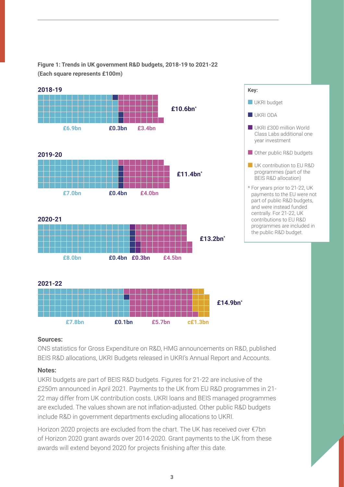**Figure 1: Trends in UK government R&D budgets, 2018-19 to 2021-22 (Each square represents £100m)**



#### **Sources:**

ONS statistics for Gross Expenditure on R&D, HMG announcements on R&D, published BEIS R&D allocations, UKRI Budgets released in UKRI's Annual Report and Accounts.

#### **Notes:**

UKRI budgets are part of BEIS R&D budgets. Figures for 21-22 are inclusive of the £250m announced in April 2021. Payments to the UK from EU R&D programmes in 21- 22 may differ from UK contribution costs. UKRI loans and BEIS managed programmes are excluded. The values shown are not inflation-adjusted. Other public R&D budgets include R&D in government departments excluding allocations to UKRI.

Horizon 2020 projects are excluded from the chart. The UK has received over €7bn of Horizon 2020 grant awards over 2014-2020. Grant payments to the UK from these awards will extend beyond 2020 for projects finishing after this date.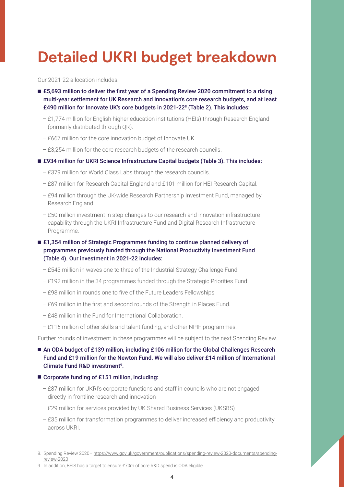## **Detailed UKRI budget breakdown**

Our 2021-22 allocation includes:

- £5,693 million to deliver the first year of a Spending Review 2020 commitment to a rising multi-year settlement for UK Research and Innovation's core research budgets, and at least £490 million for Innovate UK's core budgets in 2021-22<sup>8</sup> (Table 2). This includes:
	- £1,774 million for English higher education institutions (HEIs) through Research England (primarily distributed through QR).
	- £667 million for the core innovation budget of Innovate UK.
	- £3,254 million for the core research budgets of the research councils.
- £934 million for UKRI Science Infrastructure Capital budgets (Table 3). This includes:
	- £379 million for World Class Labs through the research councils.
	- £87 million for Research Capital England and £101 million for HEI Research Capital.
	- £94 million through the UK-wide Research Partnership Investment Fund, managed by Research England.
	- £50 million investment in step-changes to our research and innovation infrastructure capability through the UKRI Infrastructure Fund and Digital Research Infrastructure Programme.
- £1,354 million of Strategic Programmes funding to continue planned delivery of programmes previously funded through the National Productivity Investment Fund (Table 4). Our investment in 2021-22 includes:
	- £543 million in waves one to three of the Industrial Strategy Challenge Fund.
	- £192 million in the 34 programmes funded through the Strategic Priorities Fund.
	- £98 million in rounds one to five of the Future Leaders Fellowships
	- £69 million in the first and second rounds of the Strength in Places Fund.
	- £48 million in the Fund for International Collaboration.
	- £116 million of other skills and talent funding, and other NPIF programmes.

Further rounds of investment in these programmes will be subject to the next Spending Review.

- An ODA budget of £139 million, including £106 million for the Global Challenges Research Fund and £19 million for the Newton Fund. We will also deliver £14 million of International Climate Fund R&D investment<sup>9</sup>.
- Corporate funding of £151 million, including:
	- £87 million for UKRI's corporate functions and staff in councils who are not engaged directly in frontline research and innovation
	- £29 million for services provided by UK Shared Business Services (UKSBS)
	- £35 million for transformation programmes to deliver increased efficiency and productivity across UKRI.

<sup>8.</sup> Spending Review 2020– [https://www.gov.uk/government/publications/spending-review-2020-documents/spending](https://www.gov.uk/government/publications/spending-review-2020-documents/spending-review-2020 )[review-2020](https://www.gov.uk/government/publications/spending-review-2020-documents/spending-review-2020 )

<sup>9.</sup> In addition, BEIS has a target to ensure £70m of core R&D spend is ODA eligible.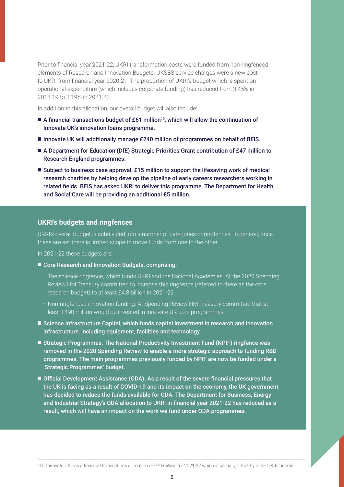Prior to financial year 2021-22, UKRI transformation costs were funded from non-ringfenced elements of Research and Innovation Budgets. UKSBS service charges were a new cost to UKRI from financial year 2020-21. The proportion of UKRI's budget which is spent on operational expenditure (which includes corporate funding) has reduced from 3.45% in 2018-19 to 3.19% in 2021-22.

In addition to this allocation, our overall budget will also include:

- A financial transactions budget of £61 million<sup>10</sup>, which will allow the continuation of Innovate UK's innovation loans programme.
- Innovate UK will additionally manage £240 million of programmes on behalf of BEIS.
- A Department for Education (DfE) Strategic Priorities Grant contribution of £47 million to Research England programmes.
- Subject to business case approval, £15 million to support the lifesaving work of medical research charities by helping develop the pipeline of early careers researchers working in related fields. BEIS has asked UKRI to deliver this programme. The Department for Health and Social Care will be providing an additional £5 million.

#### **UKRI's budgets and ringfences**

UKRI's overall budget is subdivided into a number of categories or ringfences. In general, once these are set there is limited scope to move funds from one to the other.

In 2021-22 these budgets are:

- Core Research and Innovation Budgets, comprising:
	- The science ringfence, which funds UKRI and the National Academies. At the 2020 Spending Review HM Treasury committed to increase this ringfence (referred to there as the core research budget) to at least £4.8 billion in 2021-22.
	- Non-ringfenced innovation funding. At Spending Review HM Treasury committed that at least £490 million would be invested in Innovate UK core programmes.
- Science Infrastructure Capital, which funds capital investment in research and innovation infrastructure, including equipment, facilities and technology.
- Strategic Programmes. The National Productivity Investment Fund (NPIF) ringfence was removed in the 2020 Spending Review to enable a more strategic approach to funding R&D programmes. The main programmes previously funded by NPIF are now be funded under a 'Strategic Programmes' budget.
- Official Development Assistance (ODA). As a result of the severe financial pressures that the UK is facing as a result of COVID-19 and its impact on the economy, the UK government has decided to reduce the funds available for ODA. The Department for Business, Energy and Industrial Strategy's ODA allocation to UKRI in financial year 2021-22 has reduced as a result, which will have an impact on the work we fund under ODA programmes.

<sup>10.</sup> Innovate UK has a financial transactions allocation of £79 million for 2021-22 which is partially offset by other UKRI income.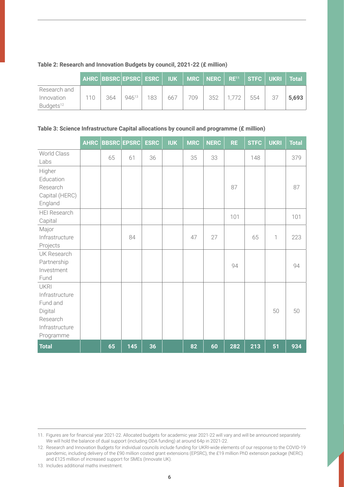|                       |         |     | AHRC BBSRC EPSRC ESRC   IUK   MRC   NERC   RE <sup>11</sup>   STFC   UKRI   Total |     |     |     |     |       |     |       |
|-----------------------|---------|-----|-----------------------------------------------------------------------------------|-----|-----|-----|-----|-------|-----|-------|
| Research and          |         |     |                                                                                   |     |     |     |     |       |     |       |
| Innovation            | $110 -$ | 364 | 94613                                                                             | 183 | 667 | 709 | 352 | 1.772 | 554 | 5,693 |
| Budgets <sup>12</sup> |         |     |                                                                                   |     |     |     |     |       |     |       |

#### **Table 2: Research and Innovation Budgets by council, 2021-22 (£ million)**

#### **Table 3: Science Infrastructure Capital allocations by council and programme (£ million)**

|                                                                                                 | <b>AHRC</b> |    | <b>BBSRC EPSRC</b> | <b>ESRC</b> | <b>IUK</b> | <b>MRC</b> | <b>NERC</b> | <b>RE</b> | <b>STFC</b> | <b>UKRI</b> | <b>Total</b> |
|-------------------------------------------------------------------------------------------------|-------------|----|--------------------|-------------|------------|------------|-------------|-----------|-------------|-------------|--------------|
| World Class<br>Labs                                                                             |             | 65 | 61                 | 36          |            | 35         | 33          |           | 148         |             | 379          |
| Higher<br>Education<br>Research<br>Capital (HERC)<br>England                                    |             |    |                    |             |            |            |             | 87        |             |             | 87           |
| <b>HEI Research</b><br>Capital                                                                  |             |    |                    |             |            |            |             | 101       |             |             | 101          |
| Major<br>Infrastructure<br>Projects                                                             |             |    | 84                 |             |            | 47         | 27          |           | 65          | 1           | 223          |
| UK Research<br>Partnership<br>Investment<br>Fund                                                |             |    |                    |             |            |            |             | 94        |             |             | 94           |
| <b>UKRI</b><br>Infrastructure<br>Fund and<br>Digital<br>Research<br>Infrastructure<br>Programme |             |    |                    |             |            |            |             |           |             | 50          | 50           |
| <b>Total</b>                                                                                    |             | 65 | 145                | 36          |            | 82         | 60          | 282       | 213         | 51          | 934          |

13. Includes additional maths investment.

<sup>11.</sup> Figures are for financial year 2021-22. Allocated budgets for academic year 2021-22 will vary and will be announced separately. We will hold the balance of dual support (including ODA funding) at around 64p in 2021-22.

<sup>12.</sup> Research and Innovation Budgets for individual councils include funding for UKRI-wide elements of our response to the COVID-19 pandemic, including delivery of the £90 million costed grant extensions (EPSRC), the £19 million PhD extension package (NERC) and £125 million of increased support for SMEs (Innovate UK).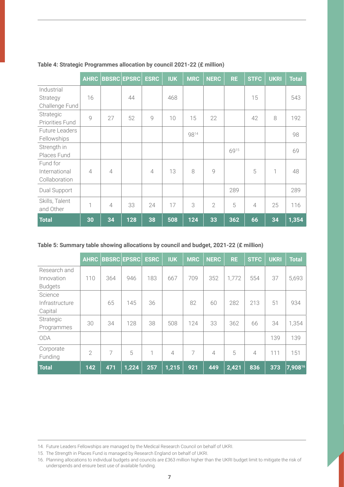|                        | <b>AHRC</b>    |                | <b>BBSRC EPSRC</b> | <b>ESRC</b>    | <b>IUK</b> | <b>MRC</b> | <b>NERC</b>    | <b>RE</b> | <b>STFC</b>    | <b>UKRI</b> | <b>Total</b> |
|------------------------|----------------|----------------|--------------------|----------------|------------|------------|----------------|-----------|----------------|-------------|--------------|
| Industrial             |                |                |                    |                |            |            |                |           |                |             |              |
| Strategy               | 16             |                | 44                 |                | 468        |            |                |           | 15             |             | 543          |
| Challenge Fund         |                |                |                    |                |            |            |                |           |                |             |              |
| Strategic              | 9              | 27             | 52                 | 9              | 10         | 15         | 22             |           | 42             | 8           | 192          |
| <b>Priorities Fund</b> |                |                |                    |                |            |            |                |           |                |             |              |
| <b>Future Leaders</b>  |                |                |                    |                |            | 9814       |                |           |                |             | 98           |
| Fellowships            |                |                |                    |                |            |            |                |           |                |             |              |
| Strength in            |                |                |                    |                |            |            |                | 6915      |                |             | 69           |
| Places Fund            |                |                |                    |                |            |            |                |           |                |             |              |
| Fund for               |                |                |                    |                |            |            |                |           |                |             |              |
| International          | $\overline{4}$ | $\overline{4}$ |                    | $\overline{4}$ | 13         | 8          | 9              |           | 5              | 1           | 48           |
| Collaboration          |                |                |                    |                |            |            |                |           |                |             |              |
| Dual Support           |                |                |                    |                |            |            |                | 289       |                |             | 289          |
| Skills, Talent         | 1              | $\overline{4}$ | 33                 | 24             | 17         | 3          | $\overline{2}$ | 5         | $\overline{4}$ | 25          | 116          |
| and Other              |                |                |                    |                |            |            |                |           |                |             |              |
| <b>Total</b>           | 30             | 34             | 128                | 38             | 508        | 124        | 33             | 362       | 66             | 34          | 1,354        |

#### **Table 4: Strategic Programmes allocation by council 2021-22 (£ million)**

#### **Table 5: Summary table showing allocations by council and budget, 2021-22 (£ million)**

|                | <b>AHRC</b>    |     | <b>BBSRC EPSRC</b> | <b>ESRC</b> | <b>IUK</b>     | <b>MRC</b>     | <b>NERC</b>    | <b>RE</b> | <b>STFC</b>    | <b>UKRI</b> | <b>Total</b> |
|----------------|----------------|-----|--------------------|-------------|----------------|----------------|----------------|-----------|----------------|-------------|--------------|
| Research and   |                |     |                    |             |                |                |                |           |                |             |              |
| Innovation     | 110            | 364 | 946                | 183         | 667            | 709            | 352            | 1,772     | 554            | 37          | 5,693        |
| <b>Budgets</b> |                |     |                    |             |                |                |                |           |                |             |              |
| Science        |                |     |                    |             |                |                |                |           |                |             |              |
| Infrastructure |                | 65  | 145                | 36          |                | 82             | 60             | 282       | 213            | 51          | 934          |
| Capital        |                |     |                    |             |                |                |                |           |                |             |              |
| Strategic      | 30             | 34  | 128                | 38          | 508            | 124            | 33             | 362       | 66             | 34          | 1,354        |
| Programmes     |                |     |                    |             |                |                |                |           |                |             |              |
| <b>ODA</b>     |                |     |                    |             |                |                |                |           |                | 139         | 139          |
| Corporate      | $\overline{2}$ | 7   | 5                  | 1           | $\overline{4}$ | $\overline{7}$ | $\overline{4}$ | 5         | $\overline{4}$ | 111         | 151          |
| Funding        |                |     |                    |             |                |                |                |           |                |             |              |
| <b>Total</b>   | 142            | 471 | 1,224              | 257         | 1,215          | 921            | 449            | 2,421     | 836            | 373         | $7,908^{16}$ |

<sup>14.</sup> Future Leaders Fellowships are managed by the Medical Research Council on behalf of UKRI.

<sup>15.</sup> The Strength in Places Fund is managed by Research England on behalf of UKRI.

<sup>16.</sup> Planning allocations to individual budgets and councils are £363 million higher than the UKRI budget limit to mitigate the risk of underspends and ensure best use of available funding.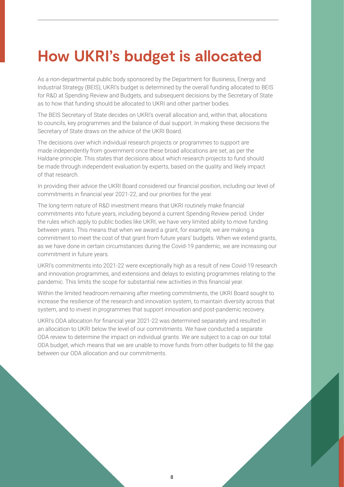### **How UKRI's budget is allocated**

As a non-departmental public body sponsored by the Department for Business, Energy and Industrial Strategy (BEIS), UKRI's budget is determined by the overall funding allocated to BEIS for R&D at Spending Review and Budgets, and subsequent decisions by the Secretary of State as to how that funding should be allocated to UKRI and other partner bodies.

The BEIS Secretary of State decides on UKRI's overall allocation and, within that, allocations to councils, key programmes and the balance of dual support. In making these decisions the Secretary of State draws on the advice of the UKRI Board.

The decisions over which individual research projects or programmes to support are made independently from government once these broad allocations are set, as per the Haldane principle. This states that decisions about which research projects to fund should be made through independent evaluation by experts, based on the quality and likely impact of that research.

In providing their advice the UKRI Board considered our financial position, including our level of commitments in financial year 2021-22, and our priorities for the year.

The long-term nature of R&D investment means that UKRI routinely make financial commitments into future years, including beyond a current Spending Review period. Under the rules which apply to public bodies like UKRI, we have very limited ability to move funding between years. This means that when we award a grant, for example, we are making a commitment to meet the cost of that grant from future years' budgets. When we extend grants, as we have done in certain circumstances during the Covid-19 pandemic, we are increasing our commitment in future years.

UKRI's commitments into 2021-22 were exceptionally high as a result of new Covid-19 research and innovation programmes, and extensions and delays to existing programmes relating to the pandemic. This limits the scope for substantial new activities in this financial year.

Within the limited headroom remaining after meeting commitments, the UKRI Board sought to increase the resilience of the research and innovation system, to maintain diversity across that system, and to invest in programmes that support innovation and post-pandemic recovery.

UKRI's ODA allocation for financial year 2021-22 was determined separately and resulted in an allocation to UKRI below the level of our commitments. We have conducted a separate ODA review to determine the impact on individual grants. We are subject to a cap on our total ODA budget, which means that we are unable to move funds from other budgets to fill the gap between our ODA allocation and our commitments.